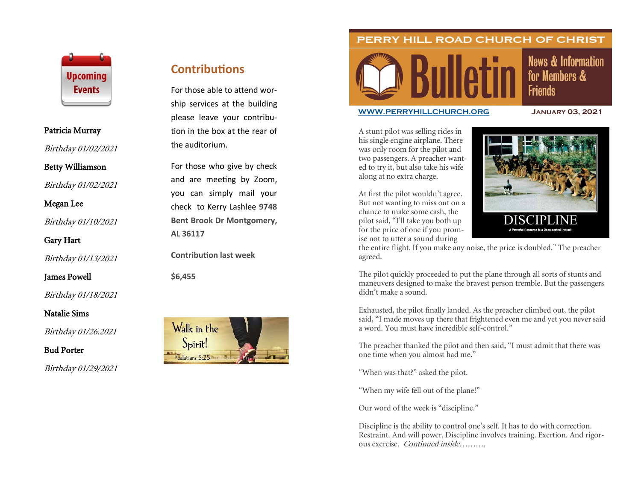

### Patricia Murray

Birthday 01/02/2021

## Betty Williamson

Birthday 01/02/2021

Megan Lee

Birthday 01/10/2021

Gary Hart

Birthday 01/13/2021

James Powell

Birthday 01/18/2021

Natalie Sims

Birthday 01/26.2021

Bud Porter

Birthday 01/29/2021

# **Contributions**

For those able to attend worship services at the building please leave your contribution in the box at the rear of the auditorium.

For those who give by check and are meeting by Zoom, you can simply mail your check to Kerry Lashlee **9748 Bent Brook Dr Montgomery, AL 36117**

**Contribution last week**

**\$6,455**



PERRY HILL ROAD CHURCH OF CHRIST

# **News & Information** for Members & **Friends**

#### **[WWW.PERRYHILLCHURCH.ORG](http://www.perryhillchurch.org) January 03, 2021**

A stunt pilot was selling rides in his single engine airplane. There was only room for the pilot and two passengers. A preacher wanted to try it, but also take his wife along at no extra charge.

At first the pilot wouldn't agree. But not wanting to miss out on a chance to make some cash, the pilot said, "I'll take you both up for the price of one if you promise not to utter a sound during



the entire flight. If you make any noise, the price is doubled." The preacher agreed.

The pilot quickly proceeded to put the plane through all sorts of stunts and maneuvers designed to make the bravest person tremble. But the passengers didn't make a sound.

Exhausted, the pilot finally landed. As the preacher climbed out, the pilot said, "I made moves up there that frightened even me and yet you never said a word. You must have incredible self-control."

The preacher thanked the pilot and then said, "I must admit that there was one time when you almost had me."

"When was that?" asked the pilot.

"When my wife fell out of the plane!"

Our word of the week is "discipline."

Discipline is the ability to control one's self. It has to do with correction. Restraint. And will power. Discipline involves training. Exertion. And rigorous exercise. Continued inside……….